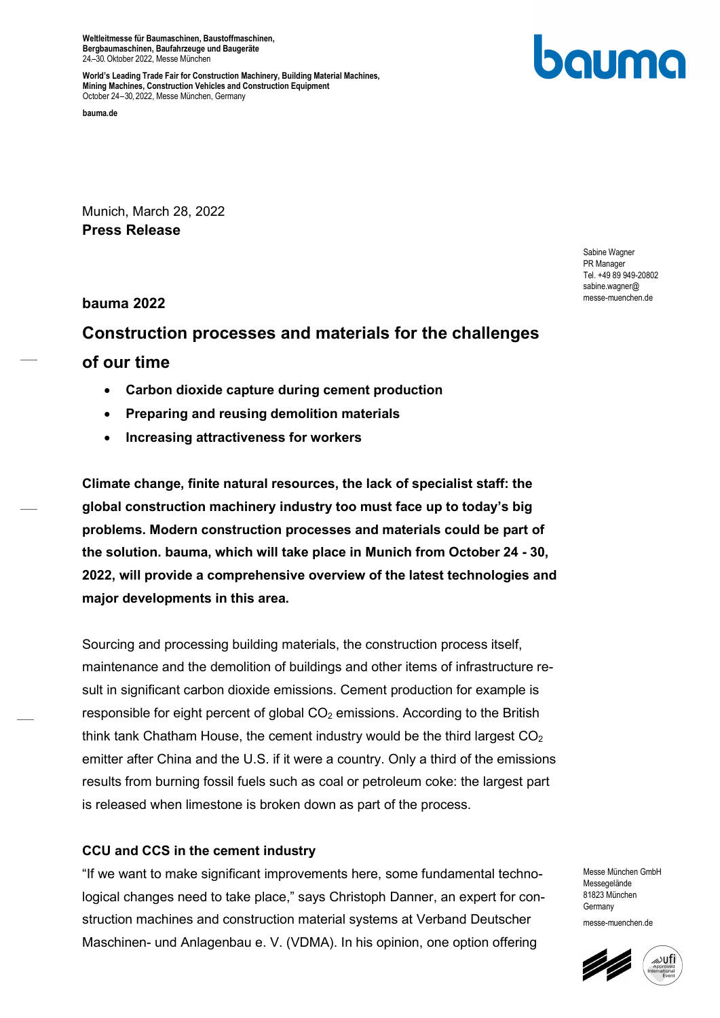Weltleitmesse für Baumaschinen, Baustoffmaschinen, Bergbaumaschinen, Baufahrzeuge und Baugeräte 24.–30. Oktober 2022, Messe München

World's Leading Trade Fair for Construction Machinery, Building Material Machines, Mining Machines, Construction Vehicles and Construction Equipment October 24–30, 2022, Messe München, Germany

# **bauma**

bauma.de

Munich, March 28, 2022 Press Release

> Sabine Wagner PR Manager Tel. +49 89 949-20802 sabine wagner@ messe-muenchen.de

bauma 2022

## Construction processes and materials for the challenges

### of our time

- Carbon dioxide capture during cement production
- Preparing and reusing demolition materials
- Increasing attractiveness for workers

Climate change, finite natural resources, the lack of specialist staff: the global construction machinery industry too must face up to today's big problems. Modern construction processes and materials could be part of the solution. bauma, which will take place in Munich from October 24 - 30, 2022, will provide a comprehensive overview of the latest technologies and major developments in this area.

Sourcing and processing building materials, the construction process itself, maintenance and the demolition of buildings and other items of infrastructure result in significant carbon dioxide emissions. Cement production for example is responsible for eight percent of global  $CO<sub>2</sub>$  emissions. According to the British think tank Chatham House, the cement industry would be the third largest  $CO<sub>2</sub>$ emitter after China and the U.S. if it were a country. Only a third of the emissions results from burning fossil fuels such as coal or petroleum coke: the largest part is released when limestone is broken down as part of the process.

### CCU and CCS in the cement industry

"If we want to make significant improvements here, some fundamental technological changes need to take place," says Christoph Danner, an expert for construction machines and construction material systems at Verband Deutscher Maschinen- und Anlagenbau e. V. (VDMA). In his opinion, one option offering

Messe München GmbH Messegelände 81823 München **Germany** messe-muenchen.de

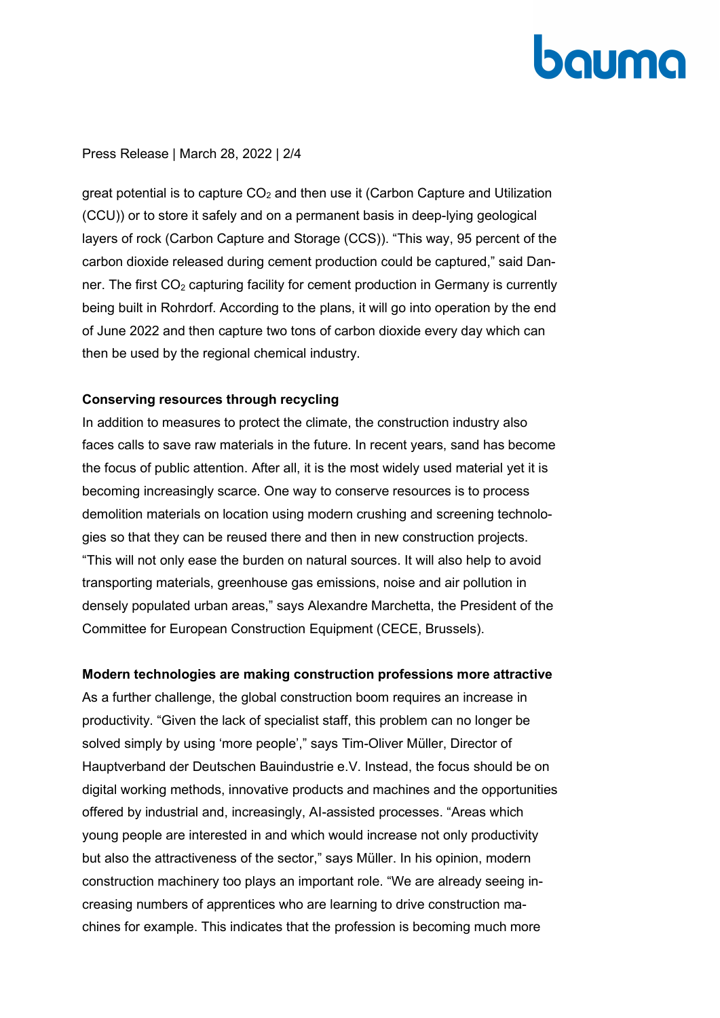# bauma

#### Press Release | March 28, 2022 | 2/4

great potential is to capture  $CO<sub>2</sub>$  and then use it (Carbon Capture and Utilization (CCU)) or to store it safely and on a permanent basis in deep-lying geological layers of rock (Carbon Capture and Storage (CCS)). "This way, 95 percent of the carbon dioxide released during cement production could be captured," said Danner. The first  $CO<sub>2</sub>$  capturing facility for cement production in Germany is currently being built in Rohrdorf. According to the plans, it will go into operation by the end of June 2022 and then capture two tons of carbon dioxide every day which can then be used by the regional chemical industry.

#### Conserving resources through recycling

In addition to measures to protect the climate, the construction industry also faces calls to save raw materials in the future. In recent years, sand has become the focus of public attention. After all, it is the most widely used material yet it is becoming increasingly scarce. One way to conserve resources is to process demolition materials on location using modern crushing and screening technologies so that they can be reused there and then in new construction projects. "This will not only ease the burden on natural sources. It will also help to avoid transporting materials, greenhouse gas emissions, noise and air pollution in densely populated urban areas," says Alexandre Marchetta, the President of the Committee for European Construction Equipment (CECE, Brussels).

#### Modern technologies are making construction professions more attractive

As a further challenge, the global construction boom requires an increase in productivity. "Given the lack of specialist staff, this problem can no longer be solved simply by using 'more people'," says Tim-Oliver Müller, Director of Hauptverband der Deutschen Bauindustrie e.V. Instead, the focus should be on digital working methods, innovative products and machines and the opportunities offered by industrial and, increasingly, AI-assisted processes. "Areas which young people are interested in and which would increase not only productivity but also the attractiveness of the sector," says Müller. In his opinion, modern construction machinery too plays an important role. "We are already seeing increasing numbers of apprentices who are learning to drive construction machines for example. This indicates that the profession is becoming much more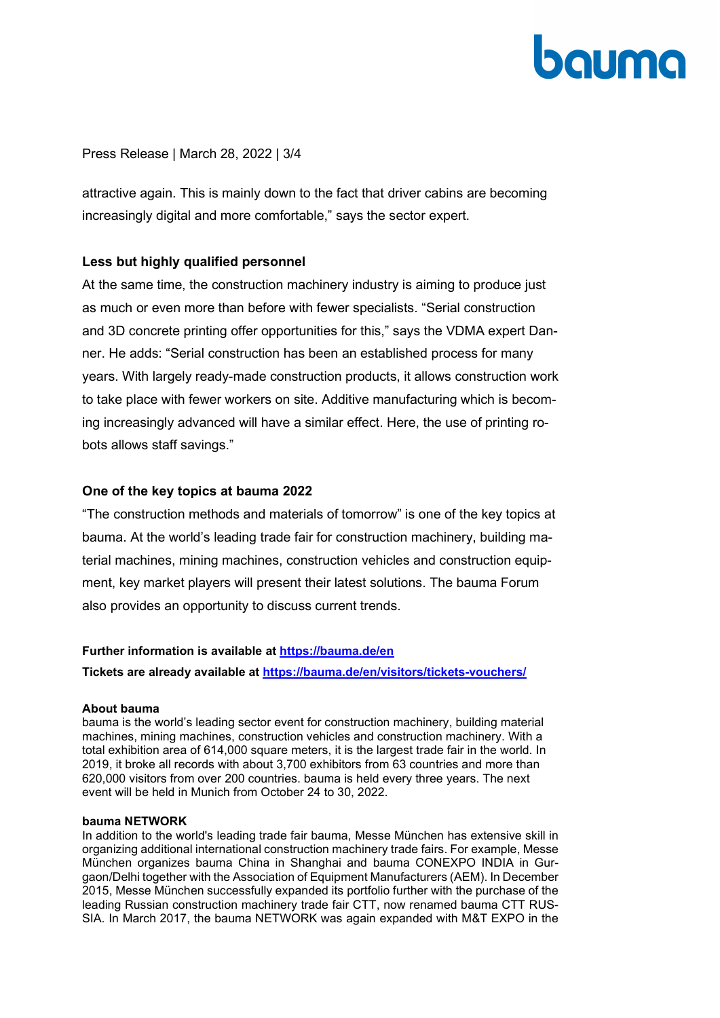# **bauma**

#### Press Release | March 28, 2022 | 3/4

attractive again. This is mainly down to the fact that driver cabins are becoming increasingly digital and more comfortable," says the sector expert.

### Less but highly qualified personnel

At the same time, the construction machinery industry is aiming to produce just as much or even more than before with fewer specialists. "Serial construction and 3D concrete printing offer opportunities for this," says the VDMA expert Danner. He adds: "Serial construction has been an established process for many years. With largely ready-made construction products, it allows construction work to take place with fewer workers on site. Additive manufacturing which is becoming increasingly advanced will have a similar effect. Here, the use of printing robots allows staff savings."

### One of the key topics at bauma 2022

"The construction methods and materials of tomorrow" is one of the key topics at bauma. At the world's leading trade fair for construction machinery, building material machines, mining machines, construction vehicles and construction equipment, key market players will present their latest solutions. The bauma Forum also provides an opportunity to discuss current trends.

#### Further information is available at https://bauma.de/en

Tickets are already available at https://bauma.de/en/visitors/tickets-vouchers/

#### About bauma

bauma is the world's leading sector event for construction machinery, building material machines, mining machines, construction vehicles and construction machinery. With a total exhibition area of 614,000 square meters, it is the largest trade fair in the world. In 2019, it broke all records with about 3,700 exhibitors from 63 countries and more than 620,000 visitors from over 200 countries. bauma is held every three years. The next event will be held in Munich from October 24 to 30, 2022.

#### bauma NETWORK

In addition to the world's leading trade fair bauma, Messe München has extensive skill in organizing additional international construction machinery trade fairs. For example, Messe München organizes bauma China in Shanghai and bauma CONEXPO INDIA in Gurgaon/Delhi together with the Association of Equipment Manufacturers (AEM). In December 2015, Messe München successfully expanded its portfolio further with the purchase of the leading Russian construction machinery trade fair CTT, now renamed bauma CTT RUS-SIA. In March 2017, the bauma NETWORK was again expanded with M&T EXPO in the